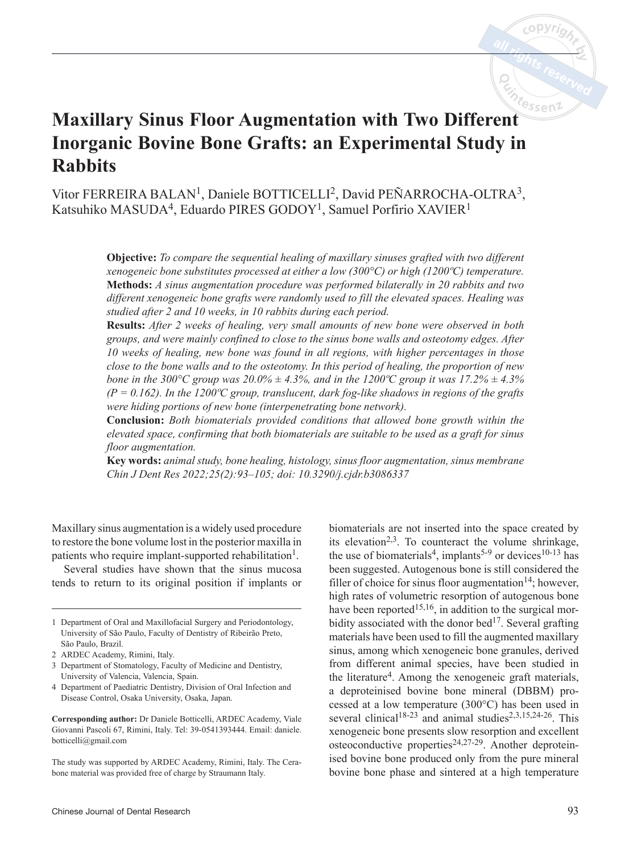

# **Maxillary Sinus Floor Augmentation with Two Different Inorganic Bovine Bone Grafts: an Experimental Study in Rabbits**

Vitor FERREIRA BALAN<sup>1</sup>, Daniele BOTTICELLI<sup>2</sup>, David PEÑARROCHA-OLTRA<sup>3</sup>, Katsuhiko MASUDA<sup>4</sup>, Eduardo PIRES GODOY<sup>1</sup>, Samuel Porfirio XAVIER<sup>1</sup>

> **Objective:** *To compare the sequential healing of maxillary sinuses grafted with two different xenogeneic bone substitutes processed at either a low (300°C) or high (1200ºC) temperature.*  **Methods:** *A sinus augmentation procedure was performed bilaterally in 20 rabbits and two different xenogeneic bone grafts were randomly used to fill the elevated spaces. Healing was studied after 2 and 10 weeks, in 10 rabbits during each period.*

> **Results:** *After 2 weeks of healing, very small amounts of new bone were observed in both groups, and were mainly confined to close to the sinus bone walls and osteotomy edges. After 10 weeks of healing, new bone was found in all regions, with higher percentages in those close to the bone walls and to the osteotomy. In this period of healing, the proportion of new bone in the 300°C group was 20.0%*  $\pm$  4.3%, and in the 1200°C group it was 17.2%  $\pm$  4.3% *(P = 0.162). In the 1200ºC group, translucent, dark fog-like shadows in regions of the grafts were hiding portions of new bone (interpenetrating bone network).*

> **Conclusion:** *Both biomaterials provided conditions that allowed bone growth within the elevated space, confirming that both biomaterials are suitable to be used as a graft for sinus floor augmentation.*

> **Key words:** *animal study, bone healing, histology, sinus floor augmentation, sinus membrane Chin J Dent Res 2022;25(2):93–105; doi: 10.3290/j.cjdr.b3086337*

Maxillary sinus augmentation is a widely used procedure to restore the bone volume lost in the posterior maxilla in patients who require implant-supported rehabilitation<sup>1</sup>.

Several studies have shown that the sinus mucosa tends to return to its original position if implants or

2 ARDEC Academy, Rimini, Italy.

4 Department of Paediatric Dentistry, Division of Oral Infection and Disease Control, Osaka University, Osaka, Japan.

biomaterials are not inserted into the space created by its elevation<sup>2,3</sup>. To counteract the volume shrinkage, the use of biomaterials<sup>4</sup>, implants<sup>5-9</sup> or devices<sup>10-13</sup> has been suggested. Autogenous bone is still considered the filler of choice for sinus floor augmentation<sup>14</sup>; however, high rates of volumetric resorption of autogenous bone have been reported<sup>15,16</sup>, in addition to the surgical morbidity associated with the donor bed<sup>17</sup>. Several grafting materials have been used to fill the augmented maxillary sinus, among which xenogeneic bone granules, derived from different animal species, have been studied in the literature<sup>4</sup>. Among the xenogeneic graft materials, a deproteinised bovine bone mineral (DBBM) processed at a low temperature (300°C) has been used in several clinical<sup>18-23</sup> and animal studies<sup>2,3,15,24-26</sup>. This xenogeneic bone presents slow resorption and excellent osteoconductive properties $24,27-29$ . Another deproteinised bovine bone produced only from the pure mineral bovine bone phase and sintered at a high temperature

<sup>1</sup> Department of Oral and Maxillofacial Surgery and Periodontology, University of São Paulo, Faculty of Dentistry of Ribeirão Preto, São Paulo, Brazil.

<sup>3</sup> Department of Stomatology, Faculty of Medicine and Dentistry, University of Valencia, Valencia, Spain.

**Corresponding author:** Dr Daniele Botticelli, ARDEC Academy, Viale Giovanni Pascoli 67, Rimini, Italy. Tel: 39-0541393444. Email: daniele. botticelli@gmail.com

The study was supported by ARDEC Academy, Rimini, Italy. The Cerabone material was provided free of charge by Straumann Italy.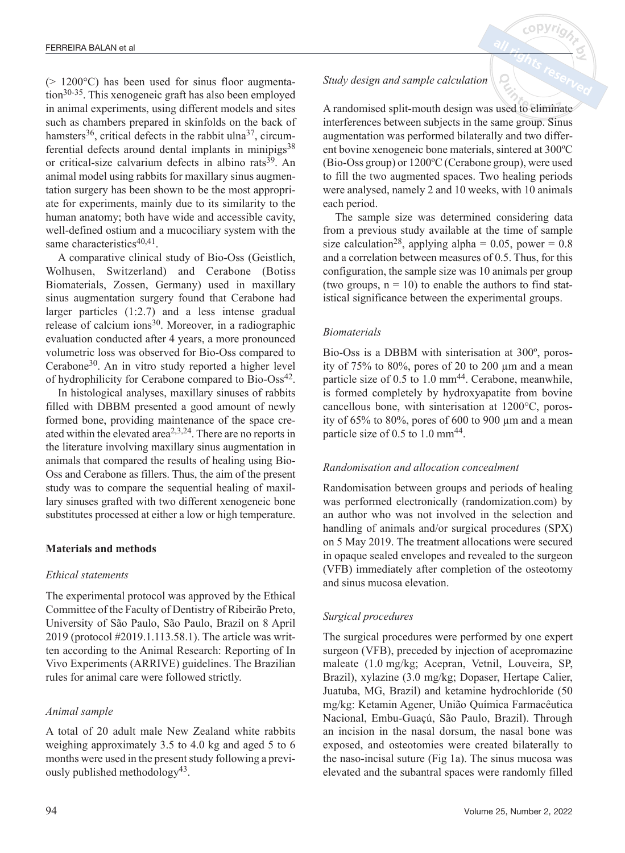$(> 1200^{\circ}$ C) has been used for sinus floor augmentation30-35. This xenogeneic graft has also been employed in animal experiments, using different models and sites such as chambers prepared in skinfolds on the back of hamsters<sup>36</sup>, critical defects in the rabbit ulna<sup>37</sup>, circumferential defects around dental implants in minipigs<sup>38</sup> or critical-size calvarium defects in albino rats<sup>39</sup>. An animal model using rabbits for maxillary sinus augmentation surgery has been shown to be the most appropriate for experiments, mainly due to its similarity to the human anatomy; both have wide and accessible cavity, well-defined ostium and a mucociliary system with the same characteristics $40,41$ .

A comparative clinical study of Bio-Oss (Geistlich, Wolhusen, Switzerland) and Cerabone (Botiss Biomaterials, Zossen, Germany) used in maxillary sinus augmentation surgery found that Cerabone had larger particles (1:2.7) and a less intense gradual release of calcium ions $30$ . Moreover, in a radiographic evaluation conducted after 4 years, a more pronounced volumetric loss was observed for Bio-Oss compared to Cerabone30. An in vitro study reported a higher level of hydrophilicity for Cerabone compared to Bio-Oss<sup>42</sup>.

In histological analyses, maxillary sinuses of rabbits filled with DBBM presented a good amount of newly formed bone, providing maintenance of the space created within the elevated area<sup> $2,3,24$ </sup>. There are no reports in the literature involving maxillary sinus augmentation in animals that compared the results of healing using Bio-Oss and Cerabone as fillers. Thus, the aim of the present study was to compare the sequential healing of maxillary sinuses grafted with two different xenogeneic bone substitutes processed at either a low or high temperature.

# **Materials and methods**

## *Ethical statements*

The experimental protocol was approved by the Ethical Committee of the Faculty of Dentistry of Ribeirão Preto, University of São Paulo, São Paulo, Brazil on 8 April 2019 (protocol #2019.1.113.58.1). The article was written according to the Animal Research: Reporting of In Vivo Experiments (ARRIVE) guidelines. The Brazilian rules for animal care were followed strictly.

# *Animal sample*

A total of 20 adult male New Zealand white rabbits weighing approximately 3.5 to 4.0 kg and aged 5 to 6 months were used in the present study following a previously published methodology<sup>43</sup>.

# *Study design and sample calculation*

A randomised split-mouth design was used to eliminate interferences between subjects in the same group. Sinus augmentation was performed bilaterally and two different bovine xenogeneic bone materials, sintered at 300ºC (Bio-Oss group) or 1200ºC (Cerabone group), were used to fill the two augmented spaces. Two healing periods were analysed, namely 2 and 10 weeks, with 10 animals each period.

The sample size was determined considering data from a previous study available at the time of sample size calculation<sup>28</sup>, applying alpha = 0.05, power =  $0.8$ and a correlation between measures of 0.5. Thus, for this configuration, the sample size was 10 animals per group (two groups,  $n = 10$ ) to enable the authors to find statistical significance between the experimental groups.

# *Biomaterials*

Bio-Oss is a DBBM with sinterisation at 300º, porosity of  $75\%$  to  $80\%$ , pores of 20 to 200  $\mu$ m and a mean particle size of  $0.5$  to  $1.0$  mm<sup>44</sup>. Cerabone, meanwhile, is formed completely by hydroxyapatite from bovine cancellous bone, with sinterisation at 1200°C, porosity of  $65\%$  to  $80\%$ , pores of  $600$  to  $900 \mu m$  and a mean particle size of  $0.5$  to  $1.0$  mm<sup>44</sup>.

## *Randomisation and allocation concealment*

Randomisation between groups and periods of healing was performed electronically (randomization.com) by an author who was not involved in the selection and handling of animals and/or surgical procedures (SPX) on 5 May 2019. The treatment allocations were secured in opaque sealed envelopes and revealed to the surgeon (VFB) immediately after completion of the osteotomy and sinus mucosa elevation.

# *Surgical procedures*

The surgical procedures were performed by one expert surgeon (VFB), preceded by injection of acepromazine maleate (1.0 mg/kg; Acepran, Vetnil, Louveira, SP, Brazil), xylazine (3.0 mg/kg; Dopaser, Hertape Calier, Juatuba, MG, Brazil) and ketamine hydrochloride (50 mg/kg: Ketamin Agener, União Química Farmacêutica Nacional, Embu-Guaçú, São Paulo, Brazil). Through an incision in the nasal dorsum, the nasal bone was exposed, and osteotomies were created bilaterally to the naso-incisal suture (Fig 1a). The sinus mucosa was elevated and the subantral spaces were randomly filled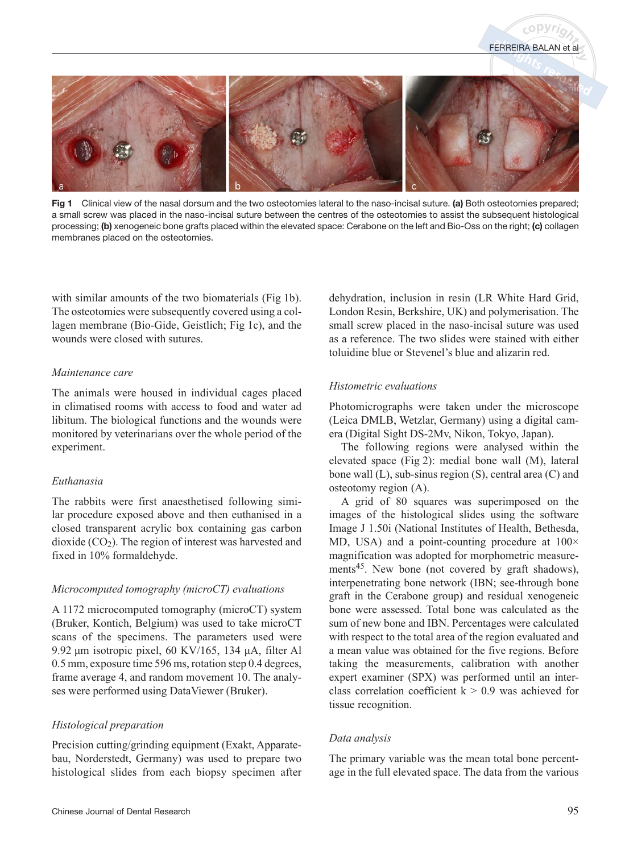

Fig 1 Clinical view of the nasal dorsum and the two osteotomies lateral to the naso-incisal suture. (a) Both osteotomies prepared; a small screw was placed in the naso-incisal suture between the centres of the osteotomies to assist the subsequent histological processing; (b) xenogeneic bone grafts placed within the elevated space: Cerabone on the left and Bio-Oss on the right; (c) collagen membranes placed on the osteotomies.

with similar amounts of the two biomaterials (Fig 1b). The osteotomies were subsequently covered using a collagen membrane (Bio-Gide, Geistlich; Fig 1c), and the wounds were closed with sutures.

#### *Maintenance care*

The animals were housed in individual cages placed in climatised rooms with access to food and water ad libitum. The biological functions and the wounds were monitored by veterinarians over the whole period of the experiment.

## *Euthanasia*

The rabbits were first anaesthetised following similar procedure exposed above and then euthanised in a closed transparent acrylic box containing gas carbon dioxide  $(CO<sub>2</sub>)$ . The region of interest was harvested and fixed in 10% formaldehyde.

## *Microcomputed tomography (microCT) evaluations*

A 1172 microcomputed tomography (microCT) system (Bruker, Kontich, Belgium) was used to take microCT scans of the specimens. The parameters used were 9.92 μm isotropic pixel, 60 KV/165, 134 μA, filter Al 0.5 mm, exposure time 596 ms, rotation step 0.4 degrees, frame average 4, and random movement 10. The analyses were performed using DataViewer (Bruker).

## *Histological preparation*

Precision cutting/grinding equipment (Exakt, Apparatebau, Norderstedt, Germany) was used to prepare two histological slides from each biopsy specimen after dehydration, inclusion in resin (LR White Hard Grid, London Resin, Berkshire, UK) and polymerisation. The small screw placed in the naso-incisal suture was used as a reference. The two slides were stained with either toluidine blue or Stevenel's blue and alizarin red.

FERREIRA BALAN et a

#### *Histometric evaluations*

Photomicrographs were taken under the microscope (Leica DMLB, Wetzlar, Germany) using a digital camera (Digital Sight DS-2Mv, Nikon, Tokyo, Japan).

The following regions were analysed within the elevated space (Fig 2): medial bone wall (M), lateral bone wall (L), sub-sinus region (S), central area (C) and osteotomy region (A).

A grid of 80 squares was superimposed on the images of the histological slides using the software Image J 1.50i (National Institutes of Health, Bethesda, MD, USA) and a point-counting procedure at  $100 \times$ magnification was adopted for morphometric measurements<sup>45</sup>. New bone (not covered by graft shadows), interpenetrating bone network (IBN; see-through bone graft in the Cerabone group) and residual xenogeneic bone were assessed. Total bone was calculated as the sum of new bone and IBN. Percentages were calculated with respect to the total area of the region evaluated and a mean value was obtained for the five regions. Before taking the measurements, calibration with another expert examiner (SPX) was performed until an interclass correlation coefficient  $k > 0.9$  was achieved for tissue recognition.

#### *Data analysis*

The primary variable was the mean total bone percentage in the full elevated space. The data from the various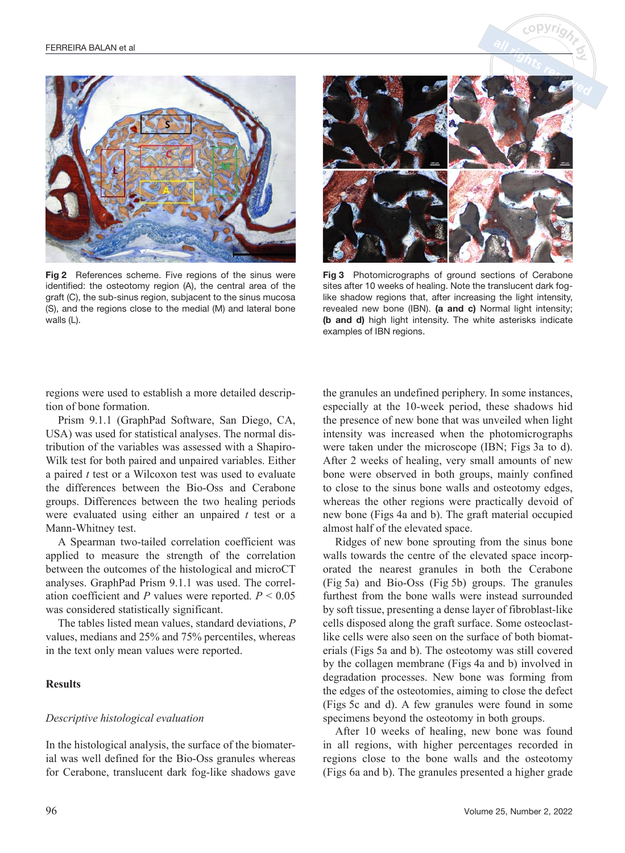

Fig 2 References scheme. Five regions of the sinus were identified: the osteotomy region (A), the central area of the graft (C), the sub-sinus region, subjacent to the sinus mucosa (S), and the regions close to the medial (M) and lateral bone walls (L).



 $c$  op  $Vr$ 

Fig 3 Photomicrographs of ground sections of Cerabone sites after 10 weeks of healing. Note the translucent dark foglike shadow regions that, after increasing the light intensity, revealed new bone (IBN). (a and c) Normal light intensity; (b and d) high light intensity. The white asterisks indicate examples of IBN regions.

regions were used to establish a more detailed description of bone formation.

Prism 9.1.1 (GraphPad Software, San Diego, CA, USA) was used for statistical analyses. The normal distribution of the variables was assessed with a Shapiro-Wilk test for both paired and unpaired variables. Either a paired *t* test or a Wilcoxon test was used to evaluate the differences between the Bio-Oss and Cerabone groups. Differences between the two healing periods were evaluated using either an unpaired *t* test or a Mann-Whitney test.

A Spearman two-tailed correlation coefficient was applied to measure the strength of the correlation between the outcomes of the histological and microCT analyses. GraphPad Prism 9.1.1 was used. The correlation coefficient and *P* values were reported. *P* < 0.05 was considered statistically significant.

The tables listed mean values, standard deviations, *P* values, medians and 25% and 75% percentiles, whereas in the text only mean values were reported.

## **Results**

#### *Descriptive histological evaluation*

In the histological analysis, the surface of the biomaterial was well defined for the Bio-Oss granules whereas for Cerabone, translucent dark fog-like shadows gave

the granules an undefined periphery. In some instances, especially at the 10-week period, these shadows hid the presence of new bone that was unveiled when light intensity was increased when the photomicrographs were taken under the microscope (IBN; Figs 3a to d). After 2 weeks of healing, very small amounts of new bone were observed in both groups, mainly confined to close to the sinus bone walls and osteotomy edges, whereas the other regions were practically devoid of new bone (Figs 4a and b). The graft material occupied almost half of the elevated space.

Ridges of new bone sprouting from the sinus bone walls towards the centre of the elevated space incorporated the nearest granules in both the Cerabone (Fig 5a) and Bio-Oss (Fig 5b) groups. The granules furthest from the bone walls were instead surrounded by soft tissue, presenting a dense layer of fibroblast-like cells disposed along the graft surface. Some osteoclastlike cells were also seen on the surface of both biomaterials (Figs 5a and b). The osteotomy was still covered by the collagen membrane (Figs 4a and b) involved in degradation processes. New bone was forming from the edges of the osteotomies, aiming to close the defect (Figs 5c and d). A few granules were found in some specimens beyond the osteotomy in both groups.

After 10 weeks of healing, new bone was found in all regions, with higher percentages recorded in regions close to the bone walls and the osteotomy (Figs 6a and b). The granules presented a higher grade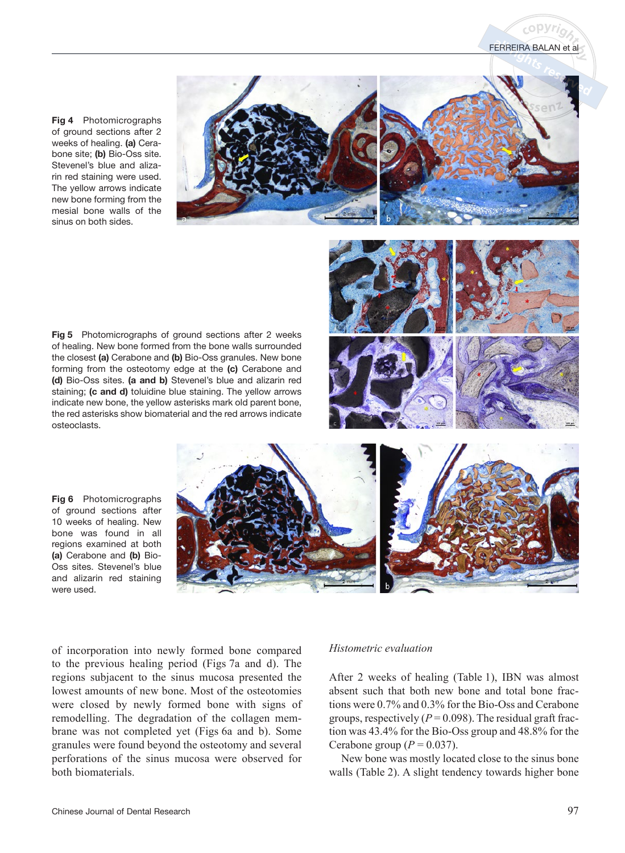

Fig 4 Photomicrographs of ground sections after 2 weeks of healing. (a) Cerabone site; (b) Bio-Oss site. Stevenel's blue and alizarin red staining were used. The yellow arrows indicate new bone forming from the mesial bone walls of the sinus on both sides.

Fig 5 Photomicrographs of ground sections after 2 weeks of healing. New bone formed from the bone walls surrounded the closest (a) Cerabone and (b) Bio-Oss granules. New bone forming from the osteotomy edge at the (c) Cerabone and (d) Bio-Oss sites. (a and b) Stevenel's blue and alizarin red staining; (c and d) toluidine blue staining. The yellow arrows indicate new bone, the yellow asterisks mark old parent bone, the red asterisks show biomaterial and the red arrows indicate osteoclasts.



Fig 6 Photomicrographs of ground sections after 10 weeks of healing. New bone was found in all regions examined at both (a) Cerabone and (b) Bio-Oss sites. Stevenel's blue and alizarin red staining were used.



of incorporation into newly formed bone compared to the previous healing period (Figs 7a and d). The regions subjacent to the sinus mucosa presented the lowest amounts of new bone. Most of the osteotomies were closed by newly formed bone with signs of remodelling. The degradation of the collagen membrane was not completed yet (Figs 6a and b). Some granules were found beyond the osteotomy and several perforations of the sinus mucosa were observed for both biomaterials.

#### *Histometric evaluation*

After 2 weeks of healing (Table 1), IBN was almost absent such that both new bone and total bone fractions were 0.7% and 0.3% for the Bio-Oss and Cerabone groups, respectively  $(P = 0.098)$ . The residual graft fraction was 43.4% for the Bio-Oss group and 48.8% for the Cerabone group  $(P = 0.037)$ .

New bone was mostly located close to the sinus bone walls (Table 2). A slight tendency towards higher bone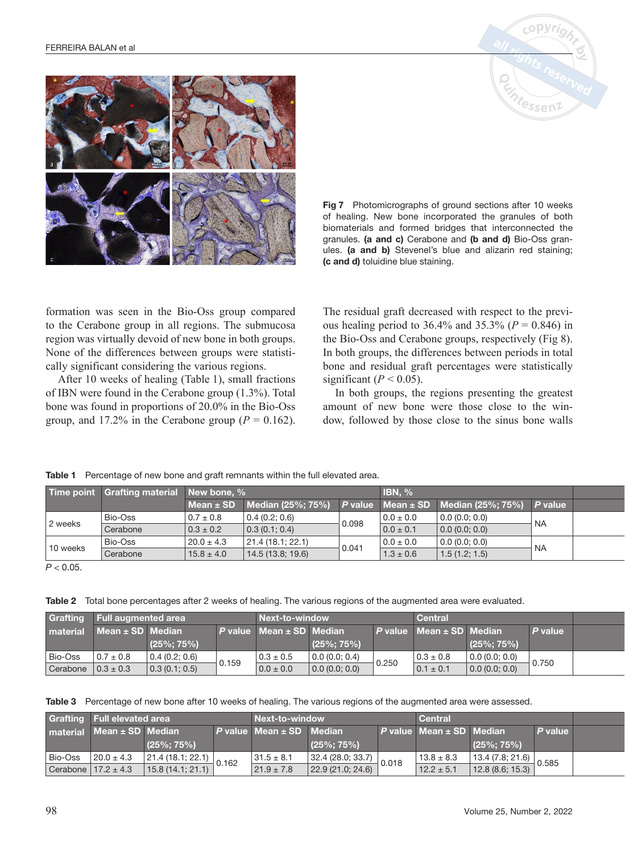



Fig 7 Photomicrographs of ground sections after 10 weeks of healing. New bone incorporated the granules of both biomaterials and formed bridges that interconnected the granules. (a and c) Cerabone and (b and d) Bio-Oss granules. (a and b) Stevenel's blue and alizarin red staining; (c and d) toluidine blue staining.

formation was seen in the Bio-Oss group compared to the Cerabone group in all regions. The submucosa region was virtually devoid of new bone in both groups. None of the differences between groups were statistically significant considering the various regions.

After 10 weeks of healing (Table 1), small fractions of IBN were found in the Cerabone group (1.3%). Total bone was found in proportions of 20.0% in the Bio-Oss group, and 17.2% in the Cerabone group  $(P = 0.162)$ .

Table 1 Percentage of new bone and graft remnants within the full elevated area.

The residual graft decreased with respect to the previous healing period to  $36.4\%$  and  $35.3\%$  ( $P = 0.846$ ) in the Bio-Oss and Cerabone groups, respectively (Fig 8). In both groups, the differences between periods in total bone and residual graft percentages were statistically significant ( $P < 0.05$ ).

In both groups, the regions presenting the greatest amount of new bone were those close to the window, followed by those close to the sinus bone walls

|          | Time point Grafting material New bone, % |                |                                                                                 |       | IBN, %        |               |           |  |
|----------|------------------------------------------|----------------|---------------------------------------------------------------------------------|-------|---------------|---------------|-----------|--|
|          |                                          |                | Mean $\pm$ SD   Median (25%; 75%)   P value   Mean $\pm$ SD   Median (25%; 75%) |       |               |               | $P$ value |  |
| 2 weeks  | Bio-Oss                                  | $0.7 \pm 0.8$  | 0.4(0.2; 0.6)                                                                   | 0.098 | $0.0 \pm 0.0$ | 0.0(0.0; 0.0) |           |  |
|          | Cerabone                                 | $0.3 \pm 0.2$  | $\vert 0.3 \vert (0.1; 0.4) \vert$                                              |       | $0.0 \pm 0.1$ | 0.0(0.0; 0.0) |           |  |
| 10 weeks | <b>Bio-Oss</b>                           | $20.0 \pm 4.3$ | 21.4(18.1; 22.1)                                                                | 0.041 | $0.0 \pm 0.0$ | 0.0(0.0; 0.0) |           |  |
|          | Cerabone                                 | $15.8 \pm 4.0$ | 14.5(13.8; 19.6)                                                                |       | $1.3\pm0.6$   | 1.5(1.2; 1.5) |           |  |

 $P < 0.05$ .

Table 2 Total bone percentages after 2 weeks of healing. The various regions of the augmented area were evaluated.

|                                    | <b>Grafting Full augmented area</b> |                |         | <b>Next-to-window</b> |                        |       | Central                                       |                |           |  |
|------------------------------------|-------------------------------------|----------------|---------|-----------------------|------------------------|-------|-----------------------------------------------|----------------|-----------|--|
|                                    | material $Mean \pm SD$ Median       |                | P value | Mean $\pm$ SD Median  |                        |       | P value $\blacksquare$ Mean $\pm$ SD   Median |                | $P$ value |  |
|                                    |                                     | $(25\%; 75\%)$ |         |                       | $(25\%; 75\%)$         |       |                                               | $(25\%; 75\%)$ |           |  |
| Bio-Oss                            | $0.7 \pm 0.8$                       | 0.4(0.2; 0.6)  | 0.159   | $0.3 \pm 0.5$         | $\vert$ 0.0 (0.0; 0.4) | 0.250 | $0.3 \pm 0.8$                                 | 0.0(0.0; 0.0)  | 0.750     |  |
| Cerabone $\vert 0.3 \pm 0.3 \vert$ |                                     | 0.3(0.1; 0.5)  |         | $0.0 \pm 0.0$         | $\vert 0.0$ (0.0; 0.0) |       | $0.1 \pm 0.1$                                 | 0.0(0.0; 0.0)  |           |  |

Table 3 Percentage of new bone after 10 weeks of healing. The various regions of the augmented area were assessed.

| Grafting Full elevated area           |                                                   |           | Next-to-window   |                                                     |                    | <b>Central</b> |                                                  |         |  |
|---------------------------------------|---------------------------------------------------|-----------|------------------|-----------------------------------------------------|--------------------|----------------|--------------------------------------------------|---------|--|
| material Mean ± SD Median             |                                                   | P value l | lean ± SD Median |                                                     | <b>P</b> value Tw. |                | $m$ ean $\pm$ SD Median                          | P value |  |
|                                       | $(25\%; 75\%)$                                    |           |                  | $(25\%; 75\%)$                                      |                    |                | $(25\%; 75\%)$                                   |         |  |
| Bio-Oss $\left  20.0 \pm 4.3 \right $ | $\frac{21.4(18.1; 22.1)}{22.4(16.1; 24.1)}$ 0.162 |           | $131.5 \pm 8.1$  | $\frac{32.4 (28.0; 33.7)}{22.2 (21.2; 21.2)}$ 0.018 |                    | $13.8 \pm 8.3$ | $\frac{13.4 (7.8; 21.6)}{3.8 (2.8; 15.8)}$ 0.585 |         |  |
| Cerabone $17.2 \pm 4.3$               | 15.8(14.1; 21.1)                                  |           | $21.9 \pm 7.8$   | 22.9(21.0; 24.6)                                    |                    | $12.2 \pm 5.1$ | 12.8(8.6; 15.3)                                  |         |  |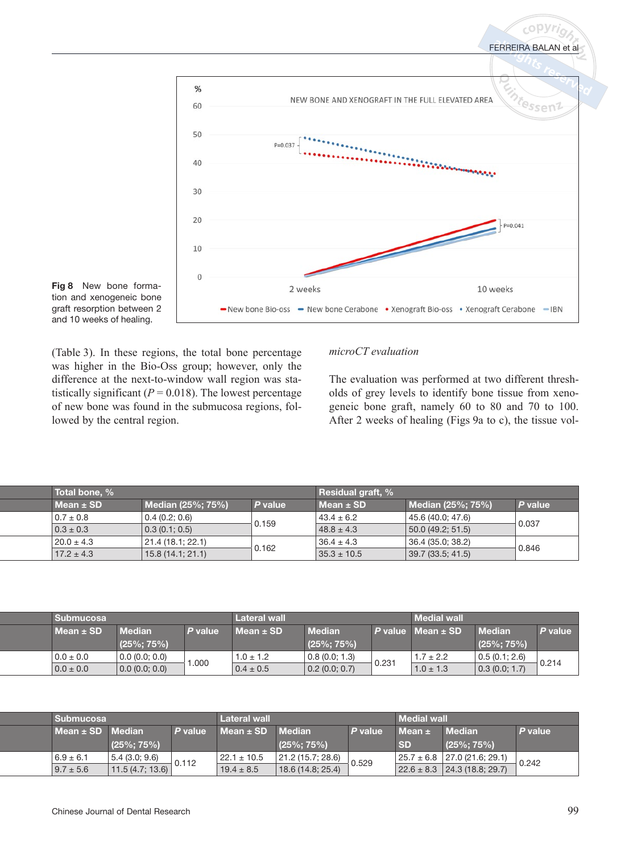



(Table 3). In these regions, the total bone percentage was higher in the Bio-Oss group; however, only the difference at the next-to-window wall region was statistically significant  $(P = 0.018)$ . The lowest percentage of new bone was found in the submucosa regions, followed by the central region.

## *microCT evaluation*

The evaluation was performed at two different thresholds of grey levels to identify bone tissue from xenogeneic bone graft, namely 60 to 80 and 70 to 100. After 2 weeks of healing (Figs 9a to c), the tissue vol-

**copyri** 

| Total bone, %  |                              |         | Residual graft, % |                   |         |  |
|----------------|------------------------------|---------|-------------------|-------------------|---------|--|
| Mean $\pm$ SD  | Median (25%; 75%)            | P value | Mean ± SD         | Median (25%; 75%) | P value |  |
| $0.7 \pm 0.8$  | 0.4(0.2; 0.6)                | 0.159   | $43.4 \pm 6.2$    | 45.6 (40.0; 47.6) |         |  |
| $0.3 \pm 0.3$  | $\vert 0.3 \vert (0.1; 0.5)$ |         | $48.8 \pm 4.3$    | 50.0(49.2; 51.5)  | 0.037   |  |
| $20.0 \pm 4.3$ | 21.4 (18.1; 22.1)            |         | $36.4 \pm 4.3$    | 36.4 (35.0; 38.2) | 0.846   |  |
| $17.2 \pm 4.3$ | 15.8(14.1; 21.1)             | 0.162   | $35.3 \pm 10.5$   | 39.7(33.5; 41.5)  |         |  |

|  | Submucosa     |                        |              | Lateral wall  |                | Medial wa            |                                |                |         |
|--|---------------|------------------------|--------------|---------------|----------------|----------------------|--------------------------------|----------------|---------|
|  | Mean ± SD     | <b>Median</b>          | <b>INTER</b> | $Mean \pm SD$ | <b>Median</b>  | <sup>o</sup> value l | $\mathbf{A}$ ± SD $\mathbf{A}$ | <b>Median</b>  | P value |
|  |               | $(25\%; 75\%)$         |              |               | $(25\%; 75\%)$ |                      |                                | $(25\%; 75\%)$ |         |
|  | $0.0 \pm 0.0$ | 0.0(0.0; 0.0)          | 1.000        | $1.0 \pm 1.2$ | 0.8(0.0; 1.3)  | 0.23                 | $1.7 \pm 2.2$                  | 0.5(0.1; 2.6)  |         |
|  | $0.0 \pm 0.0$ | $\vert 0.0$ (0.0; 0.0) |              | $0.4 \pm 0.5$ | 0.2(0.0; 0.7)  |                      | $1.0 \pm 1.3$                  | 0.3(0.0; 1.7)  | 0.214   |

|               | <b>Submucosa</b><br><b>Lateral wall</b><br>Mean $\pm$ SD   Median<br><sup>⊃</sup> value ⊺ |       |                 |                   |          | <b>Medial walk</b> |                                  |         |
|---------------|-------------------------------------------------------------------------------------------|-------|-----------------|-------------------|----------|--------------------|----------------------------------|---------|
|               |                                                                                           |       | ⁄lean ±         | <b>SD</b> Median  | P value  | Mean ±             | <b>Median</b>                    | P value |
|               | $(25\%; 75\%)$                                                                            |       |                 | $(25\%; 75\%)$    |          | <b>SD</b>          | $(25\%; 75\%)$                   |         |
| $6.9 \pm 6.1$ | 5.4(3.0; 9.6)                                                                             | 0.112 | $22.1 \pm 10.5$ | 21.2 (15.7; 28.6) | $-0.529$ |                    | $25.7 \pm 6.8$ 27.0 (21.6; 29.1) | 0.242   |
| $9.7 \pm 5.6$ | 11.5(4.7; 13.6)                                                                           |       | $19.4 \pm 8.5$  | 18.6(14.8; 25.4)  |          |                    | $22.6 \pm 8.3$ 24.3 (18.8; 29.7) |         |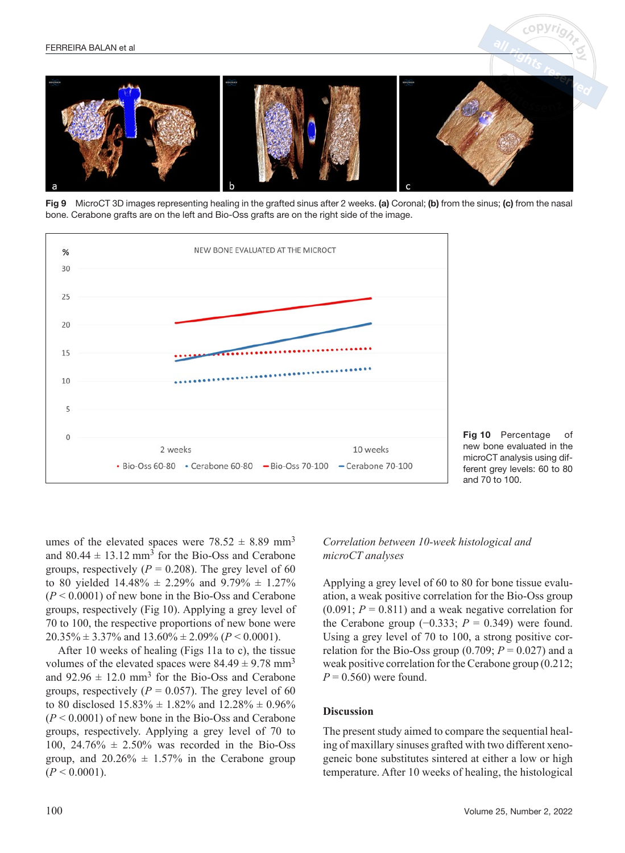

Fig 9 MicroCT 3D images representing healing in the grafted sinus after 2 weeks. (a) Coronal; (b) from the sinus; (c) from the nasal bone. Cerabone grafts are on the left and Bio-Oss grafts are on the right side of the image.





umes of the elevated spaces were  $78.52 \pm 8.89$  mm<sup>3</sup> and  $80.44 \pm 13.12$  mm<sup>3</sup> for the Bio-Oss and Cerabone groups, respectively  $(P = 0.208)$ . The grey level of 60 to 80 yielded  $14.48\% \pm 2.29\%$  and  $9.79\% \pm 1.27\%$ (*P* < 0.0001) of new bone in the Bio-Oss and Cerabone groups, respectively (Fig 10). Applying a grey level of 70 to 100, the respective proportions of new bone were  $20.35\% \pm 3.37\%$  and  $13.60\% \pm 2.09\%$  ( $P < 0.0001$ ).

After 10 weeks of healing (Figs 11a to c), the tissue volumes of the elevated spaces were  $84.49 \pm 9.78$  mm<sup>3</sup> and  $92.96 \pm 12.0$  mm<sup>3</sup> for the Bio-Oss and Cerabone groups, respectively ( $P = 0.057$ ). The grey level of 60 to 80 disclosed  $15.83\% \pm 1.82\%$  and  $12.28\% \pm 0.96\%$ (*P* < 0.0001) of new bone in the Bio-Oss and Cerabone groups, respectively. Applying a grey level of 70 to 100, 24.76%  $\pm$  2.50% was recorded in the Bio-Oss group, and  $20.26\% \pm 1.57\%$  in the Cerabone group  $(P < 0.0001)$ .

# *Correlation between 10-week histological and microCT analyses*

Applying a grey level of 60 to 80 for bone tissue evaluation, a weak positive correlation for the Bio-Oss group  $(0.091; P = 0.811)$  and a weak negative correlation for the Cerabone group  $(-0.333; P = 0.349)$  were found. Using a grey level of 70 to 100, a strong positive correlation for the Bio-Oss group  $(0.709; P = 0.027)$  and a weak positive correlation for the Cerabone group (0.212;  $P = 0.560$ ) were found.

#### **Discussion**

The present study aimed to compare the sequential healing of maxillary sinuses grafted with two different xenogeneic bone substitutes sintered at either a low or high temperature. After 10 weeks of healing, the histological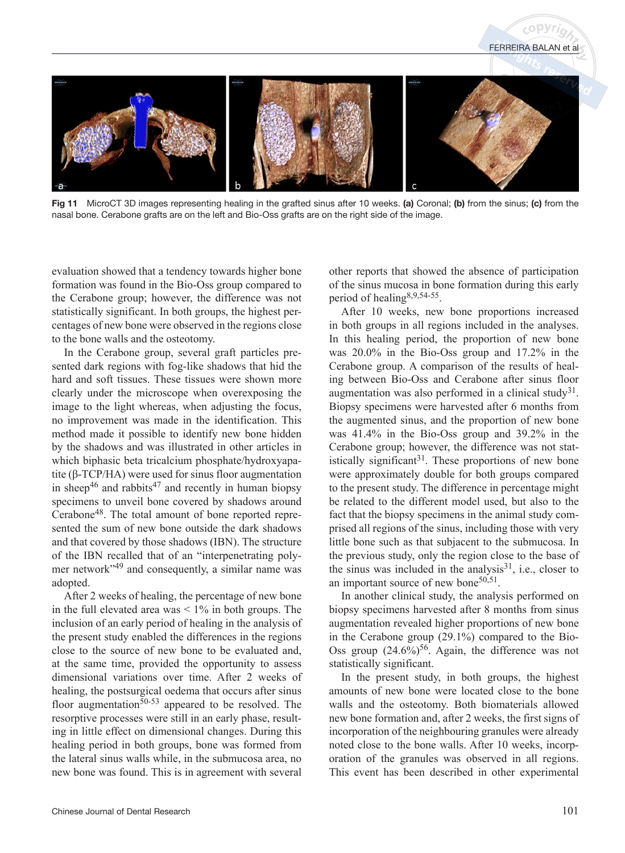

Fig 11 MicroCT 3D images representing healing in the grafted sinus after 10 weeks. (a) Coronal; (b) from the sinus; (c) from the nasal bone. Cerabone grafts are on the left and Bio-Oss grafts are on the right side of the image.

evaluation showed that a tendency towards higher bone formation was found in the Bio-Oss group compared to the Cerabone group; however, the difference was not statistically significant. In both groups, the highest percentages of new bone were observed in the regions close to the bone walls and the osteotomy.

In the Cerabone group, several graft particles presented dark regions with fog-like shadows that hid the hard and soft tissues. These tissues were shown more clearly under the microscope when overexposing the image to the light whereas, when adjusting the focus, no improvement was made in the identification. This method made it possible to identify new bone hidden by the shadows and was illustrated in other articles in which biphasic beta tricalcium phosphate/hydroxyapatite (β-TCP/HA) were used for sinus floor augmentation in sheep<sup>46</sup> and rabbits<sup>47</sup> and recently in human biopsy specimens to unveil bone covered by shadows around Cerabone48. The total amount of bone reported represented the sum of new bone outside the dark shadows and that covered by those shadows (IBN). The structure of the IBN recalled that of an "interpenetrating polymer network"49 and consequently, a similar name was adopted.

After 2 weeks of healing, the percentage of new bone in the full elevated area was  $\leq 1\%$  in both groups. The inclusion of an early period of healing in the analysis of the present study enabled the differences in the regions close to the source of new bone to be evaluated and, at the same time, provided the opportunity to assess dimensional variations over time. After 2 weeks of healing, the postsurgical oedema that occurs after sinus floor augmentation<sup>50-53</sup> appeared to be resolved. The resorptive processes were still in an early phase, resulting in little effect on dimensional changes. During this healing period in both groups, bone was formed from the lateral sinus walls while, in the submucosa area, no new bone was found. This is in agreement with several

other reports that showed the absence of participation of the sinus mucosa in bone formation during this early period of healing8,9,54-55.

FERREIRA BALAN et al

After 10 weeks, new bone proportions increased in both groups in all regions included in the analyses. In this healing period, the proportion of new bone was 20.0% in the Bio-Oss group and 17.2% in the Cerabone group. A comparison of the results of healing between Bio-Oss and Cerabone after sinus floor augmentation was also performed in a clinical study<sup>31</sup>. Biopsy specimens were harvested after 6 months from the augmented sinus, and the proportion of new bone was 41.4% in the Bio-Oss group and 39.2% in the Cerabone group; however, the difference was not statistically significant<sup>31</sup>. These proportions of new bone were approximately double for both groups compared to the present study. The difference in percentage might be related to the different model used, but also to the fact that the biopsy specimens in the animal study comprised all regions of the sinus, including those with very little bone such as that subjacent to the submucosa. In the previous study, only the region close to the base of the sinus was included in the analysis $31$ , i.e., closer to an important source of new bone<sup>50,51</sup>.

In another clinical study, the analysis performed on biopsy specimens harvested after 8 months from sinus augmentation revealed higher proportions of new bone in the Cerabone group (29.1%) compared to the Bio-Oss group  $(24.6\%)^{56}$ . Again, the difference was not statistically significant.

In the present study, in both groups, the highest amounts of new bone were located close to the bone walls and the osteotomy. Both biomaterials allowed new bone formation and, after 2 weeks, the first signs of incorporation of the neighbouring granules were already noted close to the bone walls. After 10 weeks, incorporation of the granules was observed in all regions. This event has been described in other experimental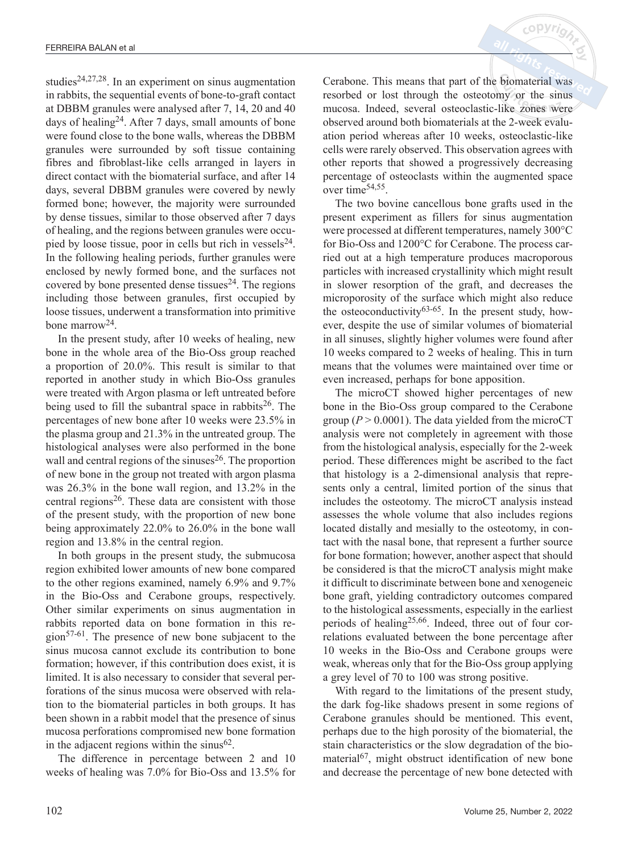studies<sup>24,27,28</sup>. In an experiment on sinus augmentation in rabbits, the sequential events of bone-to-graft contact at DBBM granules were analysed after 7, 14, 20 and 40 days of healing<sup>24</sup>. After 7 days, small amounts of bone were found close to the bone walls, whereas the DBBM granules were surrounded by soft tissue containing fibres and fibroblast-like cells arranged in layers in direct contact with the biomaterial surface, and after 14 days, several DBBM granules were covered by newly formed bone; however, the majority were surrounded by dense tissues, similar to those observed after 7 days of healing, and the regions between granules were occupied by loose tissue, poor in cells but rich in vessels $^{24}$ . In the following healing periods, further granules were enclosed by newly formed bone, and the surfaces not covered by bone presented dense tissues $24$ . The regions including those between granules, first occupied by loose tissues, underwent a transformation into primitive bone marrow<sup>24</sup>.

In the present study, after 10 weeks of healing, new bone in the whole area of the Bio-Oss group reached a proportion of 20.0%. This result is similar to that reported in another study in which Bio-Oss granules were treated with Argon plasma or left untreated before being used to fill the subantral space in rabbits<sup>26</sup>. The percentages of new bone after 10 weeks were 23.5% in the plasma group and 21.3% in the untreated group. The histological analyses were also performed in the bone wall and central regions of the sinuses<sup>26</sup>. The proportion of new bone in the group not treated with argon plasma was 26.3% in the bone wall region, and 13.2% in the central regions<sup>26</sup>. These data are consistent with those of the present study, with the proportion of new bone being approximately 22.0% to 26.0% in the bone wall region and 13.8% in the central region.

In both groups in the present study, the submucosa region exhibited lower amounts of new bone compared to the other regions examined, namely 6.9% and 9.7% in the Bio-Oss and Cerabone groups, respectively. Other similar experiments on sinus augmentation in rabbits reported data on bone formation in this region<sup>57-61</sup>. The presence of new bone subjacent to the sinus mucosa cannot exclude its contribution to bone formation; however, if this contribution does exist, it is limited. It is also necessary to consider that several perforations of the sinus mucosa were observed with relation to the biomaterial particles in both groups. It has been shown in a rabbit model that the presence of sinus mucosa perforations compromised new bone formation in the adjacent regions within the sinus<sup>62</sup>.

The difference in percentage between 2 and 10 weeks of healing was 7.0% for Bio-Oss and 13.5% for Cerabone. This means that part of the biomaterial was resorbed or lost through the osteotomy or the sinus mucosa. Indeed, several osteoclastic-like zones were observed around both biomaterials at the 2-week evaluation period whereas after 10 weeks, osteoclastic-like cells were rarely observed. This observation agrees with other reports that showed a progressively decreasing percentage of osteoclasts within the augmented space over time54,55.

 $c$  op  $V$ r

The two bovine cancellous bone grafts used in the present experiment as fillers for sinus augmentation were processed at different temperatures, namely 300°C for Bio-Oss and 1200°C for Cerabone. The process carried out at a high temperature produces macroporous particles with increased crystallinity which might result in slower resorption of the graft, and decreases the microporosity of the surface which might also reduce the osteoconductivity<sup>63-65</sup>. In the present study, however, despite the use of similar volumes of biomaterial in all sinuses, slightly higher volumes were found after 10 weeks compared to 2 weeks of healing. This in turn means that the volumes were maintained over time or even increased, perhaps for bone apposition.

The microCT showed higher percentages of new bone in the Bio-Oss group compared to the Cerabone group ( $P > 0.0001$ ). The data yielded from the microCT analysis were not completely in agreement with those from the histological analysis, especially for the 2-week period. These differences might be ascribed to the fact that histology is a 2-dimensional analysis that represents only a central, limited portion of the sinus that includes the osteotomy. The microCT analysis instead assesses the whole volume that also includes regions located distally and mesially to the osteotomy, in contact with the nasal bone, that represent a further source for bone formation; however, another aspect that should be considered is that the microCT analysis might make it difficult to discriminate between bone and xenogeneic bone graft, yielding contradictory outcomes compared to the histological assessments, especially in the earliest periods of healing25,66. Indeed, three out of four correlations evaluated between the bone percentage after 10 weeks in the Bio-Oss and Cerabone groups were weak, whereas only that for the Bio-Oss group applying a grey level of 70 to 100 was strong positive.

With regard to the limitations of the present study, the dark fog-like shadows present in some regions of Cerabone granules should be mentioned. This event, perhaps due to the high porosity of the biomaterial, the stain characteristics or the slow degradation of the biomaterial<sup>67</sup>, might obstruct identification of new bone and decrease the percentage of new bone detected with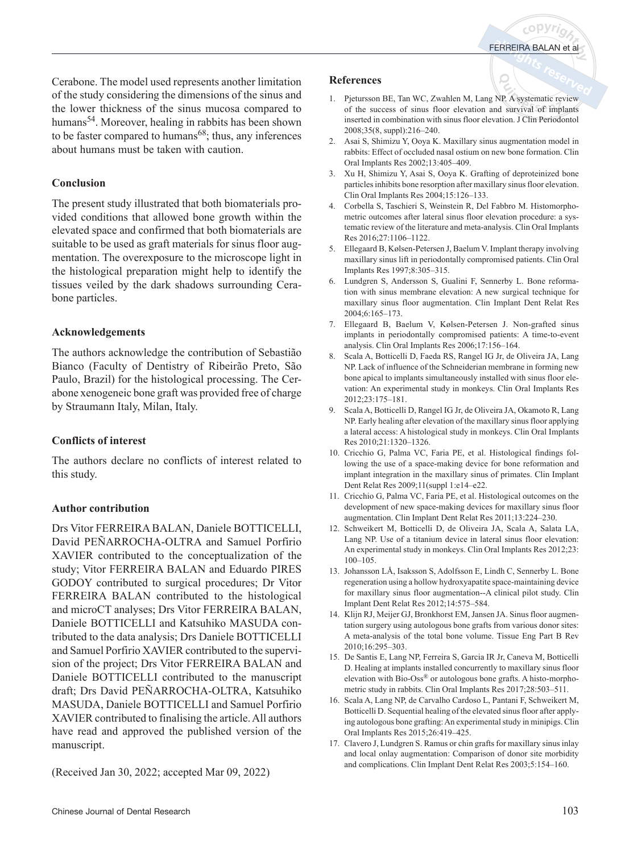Cerabone. The model used represents another limitation of the study considering the dimensions of the sinus and the lower thickness of the sinus mucosa compared to humans<sup>54</sup>. Moreover, healing in rabbits has been shown to be faster compared to humans<sup>68</sup>; thus, any inferences about humans must be taken with caution.

## **Conclusion**

The present study illustrated that both biomaterials provided conditions that allowed bone growth within the elevated space and confirmed that both biomaterials are suitable to be used as graft materials for sinus floor augmentation. The overexposure to the microscope light in the histological preparation might help to identify the tissues veiled by the dark shadows surrounding Cerabone particles.

# **Acknowledgements**

The authors acknowledge the contribution of Sebastião Bianco (Faculty of Dentistry of Ribeirão Preto, São Paulo, Brazil) for the histological processing. The Cerabone xenogeneic bone graft was provided free of charge by Straumann Italy, Milan, Italy.

# **Conflicts of interest**

The authors declare no conflicts of interest related to this study.

# **Author contribution**

Drs Vitor FERREIRA BALAN, Daniele BOTTICELLI, David PEÑARROCHA-OLTRA and Samuel Porfirio XAVIER contributed to the conceptualization of the study; Vitor FERREIRA BALAN and Eduardo PIRES GODOY contributed to surgical procedures; Dr Vitor FERREIRA BALAN contributed to the histological and microCT analyses; Drs Vitor FERREIRA BALAN, Daniele BOTTICELLI and Katsuhiko MASUDA contributed to the data analysis; Drs Daniele BOTTICELLI and Samuel Porfirio XAVIER contributed to the supervision of the project; Drs Vitor FERREIRA BALAN and Daniele BOTTICELLI contributed to the manuscript draft; Drs David PEÑARROCHA-OLTRA, Katsuhiko MASUDA, Daniele BOTTICELLI and Samuel Porfirio XAVIER contributed to finalising the article. All authors have read and approved the published version of the manuscript.

(Received Jan 30, 2022; accepted Mar 09, 2022)

#### **References**

- 1. Pjetursson BE, Tan WC, Zwahlen M, Lang NP. A systematic review of the success of sinus floor elevation and survival of implants inserted in combination with sinus floor elevation. J Clin Periodontol 2008;35(8, suppl):216–240.
- 2. Asai S, Shimizu Y, Ooya K. Maxillary sinus augmentation model in rabbits: Effect of occluded nasal ostium on new bone formation. Clin Oral Implants Res 2002;13:405–409.
- 3. Xu H, Shimizu Y, Asai S, Ooya K. Grafting of deproteinized bone particles inhibits bone resorption after maxillary sinus floor elevation. Clin Oral Implants Res 2004;15:126–133.
- 4. Corbella S, Taschieri S, Weinstein R, Del Fabbro M. Histomorphometric outcomes after lateral sinus floor elevation procedure: a systematic review of the literature and meta-analysis. Clin Oral Implants Res 2016;27:1106–1122.
- 5. Ellegaard B, Kølsen-Petersen J, Baelum V. Implant therapy involving maxillary sinus lift in periodontally compromised patients. Clin Oral Implants Res 1997;8:305–315.
- 6. Lundgren S, Andersson S, Gualini F, Sennerby L. Bone reformation with sinus membrane elevation: A new surgical technique for maxillary sinus floor augmentation. Clin Implant Dent Relat Res 2004;6:165–173.
- 7. Ellegaard B, Baelum V, Kølsen-Petersen J. Non-grafted sinus implants in periodontally compromised patients: A time-to-event analysis. Clin Oral Implants Res 2006;17:156–164.
- 8. Scala A, Botticelli D, Faeda RS, Rangel IG Jr, de Oliveira JA, Lang NP. Lack of influence of the Schneiderian membrane in forming new bone apical to implants simultaneously installed with sinus floor elevation: An experimental study in monkeys. Clin Oral Implants Res 2012;23:175–181.
- 9. Scala A, Botticelli D, Rangel IG Jr, de Oliveira JA, Okamoto R, Lang NP. Early healing after elevation of the maxillary sinus floor applying a lateral access: A histological study in monkeys. Clin Oral Implants Res 2010;21:1320–1326.
- 10. Cricchio G, Palma VC, Faria PE, et al. Histological findings following the use of a space-making device for bone reformation and implant integration in the maxillary sinus of primates. Clin Implant Dent Relat Res 2009;11(suppl 1:e14–e22.
- 11. Cricchio G, Palma VC, Faria PE, et al. Histological outcomes on the development of new space-making devices for maxillary sinus floor augmentation. Clin Implant Dent Relat Res 2011;13:224–230.
- 12. Schweikert M, Botticelli D, de Oliveira JA, Scala A, Salata LA, Lang NP. Use of a titanium device in lateral sinus floor elevation: An experimental study in monkeys. Clin Oral Implants Res 2012;23: 100–105.
- 13. Johansson LÅ, Isaksson S, Adolfsson E, Lindh C, Sennerby L. Bone regeneration using a hollow hydroxyapatite space-maintaining device for maxillary sinus floor augmentation--A clinical pilot study. Clin Implant Dent Relat Res 2012;14:575–584.
- 14. Klijn RJ, Meijer GJ, Bronkhorst EM, Jansen JA. Sinus floor augmentation surgery using autologous bone grafts from various donor sites: A meta-analysis of the total bone volume. Tissue Eng Part B Rev 2010;16:295–303.
- 15. De Santis E, Lang NP, Ferreira S, Garcia IR Jr, Caneva M, Botticelli D. Healing at implants installed concurrently to maxillary sinus floor elevation with Bio-Oss® or autologous bone grafts. A histo-morphometric study in rabbits. Clin Oral Implants Res 2017;28:503–511.
- 16. Scala A, Lang NP, de Carvalho Cardoso L, Pantani F, Schweikert M, Botticelli D. Sequential healing of the elevated sinus floor after applying autologous bone grafting: An experimental study in minipigs. Clin Oral Implants Res 2015;26:419–425.
- 17. Clavero J, Lundgren S. Ramus or chin grafts for maxillary sinus inlay and local onlay augmentation: Comparison of donor site morbidity and complications. Clin Implant Dent Relat Res 2003;5:154–160.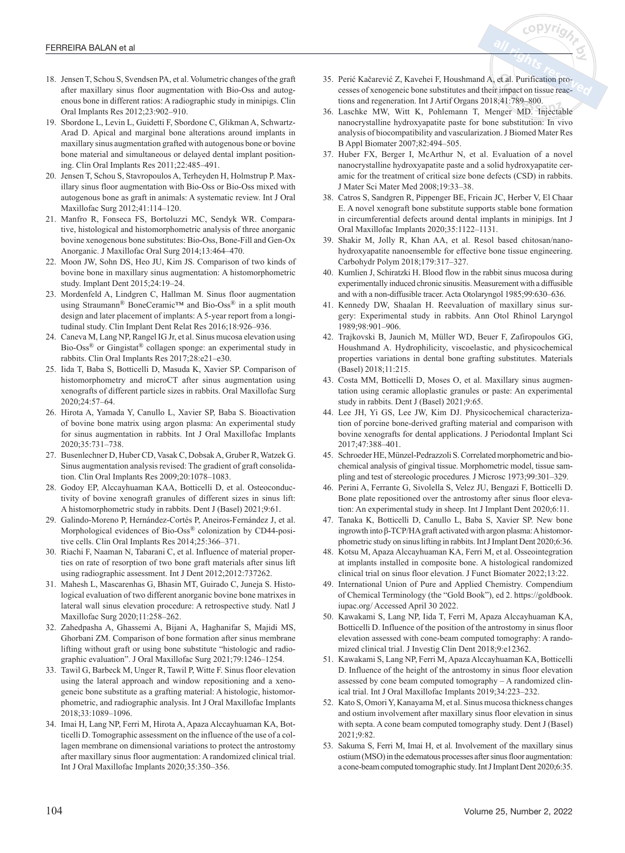

- 18. Jensen T, Schou S, Svendsen PA, et al. Volumetric changes of the graft after maxillary sinus floor augmentation with Bio-Oss and autogenous bone in different ratios: A radiographic study in minipigs. Clin Oral Implants Res 2012;23:902–910.
- 19. Sbordone L, Levin L, Guidetti F, Sbordone C, Glikman A, Schwartz-Arad D. Apical and marginal bone alterations around implants in maxillary sinus augmentation grafted with autogenous bone or bovine bone material and simultaneous or delayed dental implant positioning. Clin Oral Implants Res 2011;22:485–491.
- 20. Jensen T, Schou S, Stavropoulos A, Terheyden H, Holmstrup P. Maxillary sinus floor augmentation with Bio-Oss or Bio-Oss mixed with autogenous bone as graft in animals: A systematic review. Int J Oral Maxillofac Surg 2012;41:114–120.
- 21. Manfro R, Fonseca FS, Bortoluzzi MC, Sendyk WR. Comparative, histological and histomorphometric analysis of three anorganic bovine xenogenous bone substitutes: Bio-Oss, Bone-Fill and Gen-Ox Anorganic. J Maxillofac Oral Surg 2014;13:464–470.
- 22. Moon JW, Sohn DS, Heo JU, Kim JS. Comparison of two kinds of bovine bone in maxillary sinus augmentation: A histomorphometric study. Implant Dent 2015;24:19–24.
- 23. Mordenfeld A, Lindgren C, Hallman M. Sinus floor augmentation using Straumann® BoneCeramic™ and Bio-Oss® in a split mouth design and later placement of implants: A 5-year report from a longitudinal study. Clin Implant Dent Relat Res 2016;18:926–936.
- 24. Caneva M, Lang NP, Rangel IG Jr, et al. Sinus mucosa elevation using Bio-Oss® or Gingistat® collagen sponge: an experimental study in rabbits. Clin Oral Implants Res 2017;28:e21–e30.
- 25. Iida T, Baba S, Botticelli D, Masuda K, Xavier SP. Comparison of histomorphometry and microCT after sinus augmentation using xenografts of different particle sizes in rabbits. Oral Maxillofac Surg 2020;24:57–64.
- 26. Hirota A, Yamada Y, Canullo L, Xavier SP, Baba S. Bioactivation of bovine bone matrix using argon plasma: An experimental study for sinus augmentation in rabbits. Int J Oral Maxillofac Implants 2020;35:731–738.
- 27. Busenlechner D, Huber CD, Vasak C, Dobsak A, Gruber R, Watzek G. Sinus augmentation analysis revised: The gradient of graft consolidation. Clin Oral Implants Res 2009;20:1078–1083.
- 28. Godoy EP, Alccayhuaman KAA, Botticelli D, et al. Osteoconductivity of bovine xenograft granules of different sizes in sinus lift: A histomorphometric study in rabbits. Dent J (Basel) 2021;9:61.
- 29. Galindo-Moreno P, Hernández-Cortés P, Aneiros-Fernández J, et al. Morphological evidences of Bio-Oss® colonization by CD44-positive cells. Clin Oral Implants Res 2014;25:366–371.
- 30. Riachi F, Naaman N, Tabarani C, et al. Influence of material properties on rate of resorption of two bone graft materials after sinus lift using radiographic assessment. Int J Dent 2012;2012:737262.
- 31. Mahesh L, Mascarenhas G, Bhasin MT, Guirado C, Juneja S. Histological evaluation of two different anorganic bovine bone matrixes in lateral wall sinus elevation procedure: A retrospective study. Natl J Maxillofac Surg 2020;11:258–262.
- 32. Zahedpasha A, Ghassemi A, Bijani A, Haghanifar S, Majidi MS, Ghorbani ZM. Comparison of bone formation after sinus membrane lifting without graft or using bone substitute "histologic and radiographic evaluation". J Oral Maxillofac Surg 2021;79:1246–1254.
- 33. Tawil G, Barbeck M, Unger R, Tawil P, Witte F. Sinus floor elevation using the lateral approach and window repositioning and a xenogeneic bone substitute as a grafting material: A histologic, histomorphometric, and radiographic analysis. Int J Oral Maxillofac Implants 2018;33:1089–1096.
- 34. Imai H, Lang NP, Ferri M, Hirota A, Apaza Alccayhuaman KA, Botticelli D. Tomographic assessment on the influence of the use of a collagen membrane on dimensional variations to protect the antrostomy after maxillary sinus floor augmentation: A randomized clinical trial. Int J Oral Maxillofac Implants 2020;35:350–356.
- 35. Perić Kačarević Z, Kavehei F, Houshmand A, et al. Purification processes of xenogeneic bone substitutes and their impact on tissue reactions and regeneration. Int J Artif Organs 2018;41:789–800.
- 36. Laschke MW, Witt K, Pohlemann T, Menger MD. Injectable nanocrystalline hydroxyapatite paste for bone substitution: In vivo analysis of biocompatibility and vascularization. J Biomed Mater Res B Appl Biomater 2007;82:494–505.
- 37. Huber FX, Berger I, McArthur N, et al. Evaluation of a novel nanocrystalline hydroxyapatite paste and a solid hydroxyapatite ceramic for the treatment of critical size bone defects (CSD) in rabbits. J Mater Sci Mater Med 2008;19:33–38.
- 38. Catros S, Sandgren R, Pippenger BE, Fricain JC, Herber V, El Chaar E. A novel xenograft bone substitute supports stable bone formation in circumferential defects around dental implants in minipigs. Int J Oral Maxillofac Implants 2020;35:1122–1131.
- 39. Shakir M, Jolly R, Khan AA, et al. Resol based chitosan/nanohydroxyapatite nanoensemble for effective bone tissue engineering. Carbohydr Polym 2018;179:317–327.
- 40. Kumlien J, Schiratzki H. Blood flow in the rabbit sinus mucosa during experimentally induced chronic sinusitis. Measurement with a diffusible and with a non-diffusible tracer. Acta Otolaryngol 1985;99:630–636.
- 41. Kennedy DW, Shaalan H. Reevaluation of maxillary sinus surgery: Experimental study in rabbits. Ann Otol Rhinol Laryngol 1989;98:901–906.
- 42. Trajkovski B, Jaunich M, Müller WD, Beuer F, Zafiropoulos GG, Houshmand A. Hydrophilicity, viscoelastic, and physicochemical properties variations in dental bone grafting substitutes. Materials (Basel) 2018;11:215.
- 43. Costa MM, Botticelli D, Moses O, et al. Maxillary sinus augmentation using ceramic alloplastic granules or paste: An experimental study in rabbits. Dent J (Basel) 2021;9:65.
- 44. Lee JH, Yi GS, Lee JW, Kim DJ. Physicochemical characterization of porcine bone-derived grafting material and comparison with bovine xenografts for dental applications. J Periodontal Implant Sci 2017;47:388–401.
- 45. Schroeder HE, Münzel-Pedrazzoli S. Correlated morphometric and biochemical analysis of gingival tissue. Morphometric model, tissue sampling and test of stereologic procedures. J Microsc 1973;99:301–329.
- 46. Perini A, Ferrante G, Sivolella S, Velez JU, Bengazi F, Botticelli D. Bone plate repositioned over the antrostomy after sinus floor elevation: An experimental study in sheep. Int J Implant Dent 2020;6:11.
- 47. Tanaka K, Botticelli D, Canullo L, Baba S, Xavier SP. New bone ingrowth into β-TCP/HAgraft activated with argon plasma:Ahistomorphometric study on sinus lifting in rabbits. Int J Implant Dent 2020;6:36.
- 48. Kotsu M, Apaza Alccayhuaman KA, Ferri M, et al. Osseointegration at implants installed in composite bone. A histological randomized clinical trial on sinus floor elevation. J Funct Biomater 2022;13:22.
- 49. International Union of Pure and Applied Chemistry. Compendium of Chemical Terminology (the "Gold Book"), ed 2. https://goldbook. iupac.org/ Accessed April 30 2022.
- 50. Kawakami S, Lang NP, Iida T, Ferri M, Apaza Alccayhuaman KA, Botticelli D. Influence of the position of the antrostomy in sinus floor elevation assessed with cone-beam computed tomography: A randomized clinical trial. J Investig Clin Dent 2018;9:e12362.
- 51. Kawakami S, Lang NP, Ferri M, Apaza Alccayhuaman KA, Botticelli D. Influence of the height of the antrostomy in sinus floor elevation assessed by cone beam computed tomography – A randomized clinical trial. Int J Oral Maxillofac Implants 2019;34:223–232.
- 52. Kato S, Omori Y, Kanayama M, et al. Sinus mucosa thickness changes and ostium involvement after maxillary sinus floor elevation in sinus with septa. A cone beam computed tomography study. Dent J (Basel) 2021;9:82.
- 53. Sakuma S, Ferri M, Imai H, et al. Involvement of the maxillary sinus ostium (MSO) in the edematous processes after sinus floor augmentation: a cone-beam computed tomographic study. Int J Implant Dent 2020;6:35.